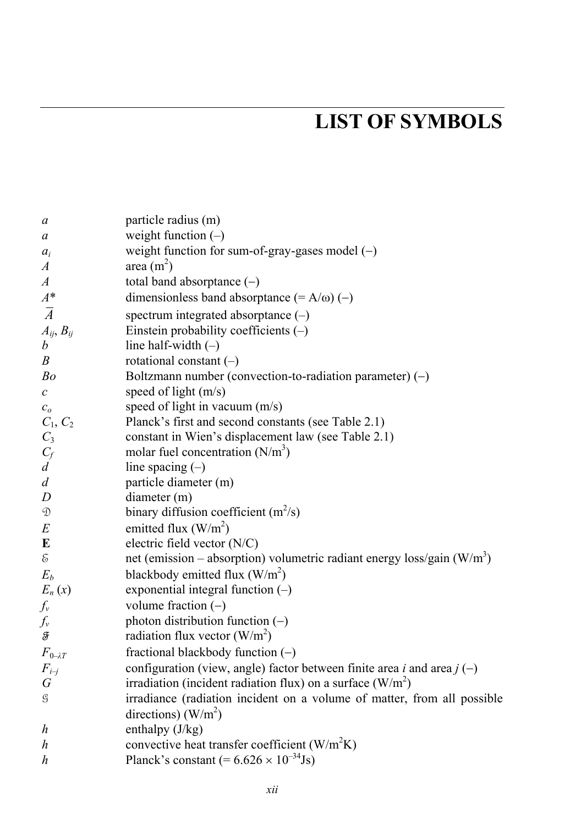## **LIST OF SYMBOLS**

| a                                                                                                       | particle radius (m)                                                       |
|---------------------------------------------------------------------------------------------------------|---------------------------------------------------------------------------|
| a                                                                                                       | weight function $(-)$                                                     |
| $a_i$                                                                                                   | weight function for sum-of-gray-gases model $(-)$                         |
| $\boldsymbol{A}$                                                                                        | area $(m2)$                                                               |
| $\boldsymbol{A}$                                                                                        | total band absorptance (-)                                                |
| $A^*$                                                                                                   | dimensionless band absorptance $(= A/\omega) (-)$                         |
| $\overline{A}$                                                                                          | spectrum integrated absorptance $(-)$                                     |
| $A_{ij}, B_{ij}$                                                                                        | Einstein probability coefficients $(-)$                                   |
| $\boldsymbol{b}$                                                                                        | line half-width $(-)$                                                     |
| $\boldsymbol{B}$                                                                                        | rotational constant $(-)$                                                 |
| Bo                                                                                                      | Boltzmann number (convection-to-radiation parameter) $(-)$                |
| $\mathcal{C}_{0}$                                                                                       | speed of light $(m/s)$                                                    |
| c <sub>o</sub>                                                                                          | speed of light in vacuum $(m/s)$                                          |
| $C_1, C_2$                                                                                              | Planck's first and second constants (see Table 2.1)                       |
| $C_3$                                                                                                   | constant in Wien's displacement law (see Table 2.1)                       |
| $C_f$                                                                                                   | molar fuel concentration $(N/m^3)$                                        |
| $\overline{d}$                                                                                          | line spacing $(-)$                                                        |
| $\boldsymbol{d}$                                                                                        | particle diameter (m)                                                     |
| $\boldsymbol{D}$                                                                                        | diameter (m)                                                              |
| $\mathfrak{D}% _{T}=\mathfrak{D}_{T}\!\left( a,b\right) ,\ \mathfrak{D}_{T}=C_{T}\!\left( a,b\right) ,$ | binary diffusion coefficient $(m^2/s)$                                    |
| $\cal E$                                                                                                | emitted flux $(W/m^2)$                                                    |
| E                                                                                                       | electric field vector (N/C)                                               |
| $\mathcal{E}$                                                                                           | net (emission – absorption) volumetric radiant energy loss/gain $(W/m^3)$ |
| $E_b$                                                                                                   | blackbody emitted flux $(W/m^2)$                                          |
| $E_n(x)$                                                                                                | exponential integral function $(-)$                                       |
| $f_v$                                                                                                   | volume fraction $(-)$                                                     |
| $f_v$                                                                                                   | photon distribution function $(-)$                                        |
| F                                                                                                       | radiation flux vector $(W/m^2)$                                           |
| $F_{0\rightarrow T}$                                                                                    | fractional blackbody function $(-)$                                       |
| $F_{i-j}$                                                                                               | configuration (view, angle) factor between finite area i and area $j(-)$  |
| $\, G \,$                                                                                               | irradiation (incident radiation flux) on a surface $(W/m^2)$              |
| $\mathcal G$                                                                                            | irradiance (radiation incident on a volume of matter, from all possible   |
|                                                                                                         | directions) $(W/m2)$                                                      |
| $\boldsymbol{h}$                                                                                        | enthalpy $(J/kg)$                                                         |
| h                                                                                                       | convective heat transfer coefficient $(W/m^2K)$                           |
| h                                                                                                       | Planck's constant $(= 6.626 \times 10^{-34}$ Js)                          |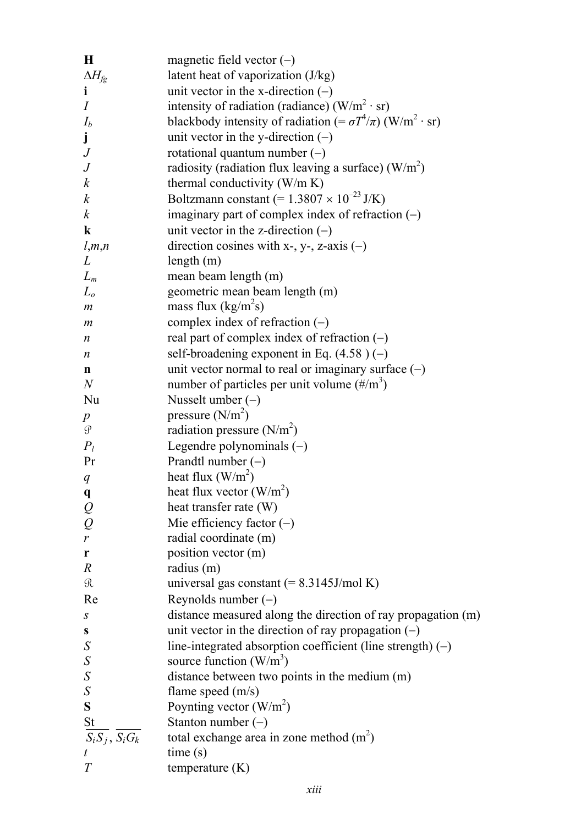| $\bf H$                                            | magnetic field vector $(-)$                                                   |
|----------------------------------------------------|-------------------------------------------------------------------------------|
| $\Delta H_{fg}$                                    | latent heat of vaporization (J/kg)                                            |
| i                                                  | unit vector in the x-direction $(-)$                                          |
| Ι                                                  | intensity of radiation (radiance) ( $W/m^2 \cdot sr$ )                        |
| $I_b$                                              | blackbody intensity of radiation (= $\sigma T^4/\pi$ ) (W/m <sup>2</sup> ·sr) |
| j                                                  | unit vector in the y-direction $(-)$                                          |
| $\,$                                               | rotational quantum number $(-)$                                               |
| $\,$                                               | radiosity (radiation flux leaving a surface) $(W/m^2)$                        |
| $\boldsymbol{k}$                                   | thermal conductivity $(W/m K)$                                                |
| $\boldsymbol{k}$                                   | Boltzmann constant (= $1.3807 \times 10^{-23}$ J/K)                           |
| $\boldsymbol{k}$                                   | imaginary part of complex index of refraction $(-)$                           |
| k                                                  | unit vector in the z-direction $(-)$                                          |
| l,m,n                                              | direction cosines with x-, y-, z-axis $(-)$                                   |
| L                                                  | length $(m)$                                                                  |
| $L_m$                                              | mean beam length (m)                                                          |
| $L_o$                                              | geometric mean beam length (m)                                                |
| m                                                  | mass flux $(kg/m^2s)$                                                         |
| m                                                  | complex index of refraction $(-)$                                             |
| n                                                  | real part of complex index of refraction $(-)$                                |
| n                                                  | self-broadening exponent in Eq. $(4.58)$ (-)                                  |
| n                                                  | unit vector normal to real or imaginary surface $(-)$                         |
| N                                                  | number of particles per unit volume $(\frac{\#}{m^3})$                        |
| Nu                                                 | Nusselt umber $(-)$                                                           |
| p                                                  | pressure $(N/m2)$                                                             |
| $\mathcal G$                                       | radiation pressure $(N/m2)$                                                   |
| $P_l$                                              | Legendre polynominals $(-)$                                                   |
| Pr                                                 | Prandtl number $(-)$                                                          |
| $q_{\rm }$                                         | heat flux $(W/m^2)$                                                           |
| q                                                  | heat flux vector $(W/m^2)$                                                    |
| $\frac{\mathcal{Q}}{\mathcal{Q}}$                  | heat transfer rate (W)                                                        |
|                                                    | Mie efficiency factor $(-)$                                                   |
| r                                                  | radial coordinate (m)                                                         |
| r                                                  | position vector (m)                                                           |
| R                                                  | radius (m)                                                                    |
| R                                                  | universal gas constant $(= 8.3145 \text{J/mol K})$                            |
| Re                                                 | Reynolds number $(-)$                                                         |
| $\boldsymbol{S}$                                   | distance measured along the direction of ray propagation (m)                  |
| S                                                  | unit vector in the direction of ray propagation $(-)$                         |
| $\boldsymbol{S}$                                   | line-integrated absorption coefficient (line strength) $(-)$                  |
| $\mathcal{S}_{0}^{(n)}$                            | source function $(W/m^3)$                                                     |
| $\boldsymbol{S}$                                   | distance between two points in the medium (m)                                 |
| $\mathcal{S}_{0}^{(n)}$                            | flame speed $(m/s)$                                                           |
| S                                                  | Poynting vector $(W/m^2)$                                                     |
| $\frac{\text{St}}{S_i S_j}$ , $\overline{S_i G_k}$ | Stanton number $(-)$                                                          |
|                                                    | total exchange area in zone method $(m2)$                                     |
| t                                                  | time(s)                                                                       |
| $\boldsymbol{T}$                                   | temperature (K)                                                               |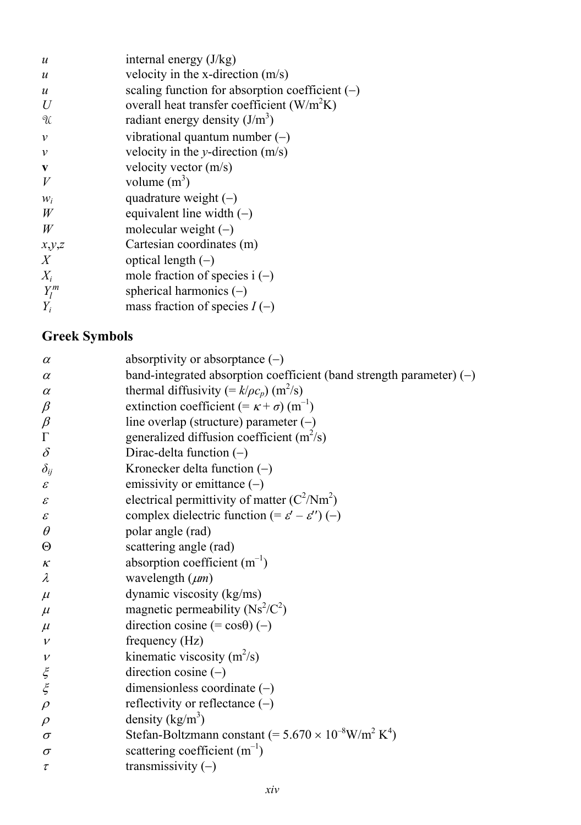| $\boldsymbol{u}$ | internal energy $(J/kg)$                               |
|------------------|--------------------------------------------------------|
| $\boldsymbol{u}$ | velocity in the x-direction $(m/s)$                    |
| $\boldsymbol{u}$ | scaling function for absorption coefficient $(-)$      |
| U                | overall heat transfer coefficient (W/m <sup>2</sup> K) |
| U                | radiant energy density $(J/m^3)$                       |
| $\mathcal V$     | vibrational quantum number $(-)$                       |
| $\mathcal V$     | velocity in the y-direction $(m/s)$                    |
| V                | velocity vector $(m/s)$                                |
| V                | volume $(m^3)$                                         |
| $W_i$            | quadrature weight $(-)$                                |
| W                | equivalent line width $(-)$                            |
| W                | molecular weight $(-)$                                 |
| x,y,z            | Cartesian coordinates (m)                              |
| $\boldsymbol{X}$ | optical length $(-)$                                   |
| $X_i$            | mole fraction of species $i(-)$                        |
| $Y_l^m$          | spherical harmonics $(-)$                              |
| $Y_i$            | mass fraction of species $I(-)$                        |

## **Greek Symbols**

| $\alpha$      | absorptivity or absorptance $(-)$                                                     |
|---------------|---------------------------------------------------------------------------------------|
| $\alpha$      | band-integrated absorption coefficient (band strength parameter) $(-)$                |
| $\alpha$      | thermal diffusivity (= $k/(\rho c_p)$ (m <sup>2</sup> /s)                             |
| $\beta$       | extinction coefficient (= $\kappa$ + $\sigma$ ) (m <sup>-1</sup> )                    |
| $\beta$       | line overlap (structure) parameter $(-)$                                              |
| $\Gamma$      | generalized diffusion coefficient $(m^2/s)$                                           |
| $\delta$      | Dirac-delta function $(-)$                                                            |
| $\delta_{ij}$ | Kronecker delta function $(-)$                                                        |
| $\mathcal E$  | emissivity or emittance $(-)$                                                         |
| $\mathcal E$  | electrical permittivity of matter $(C^2/Nm^2)$                                        |
| $\mathcal E$  | complex dielectric function (= $\varepsilon'$ – $\varepsilon''$ ) (-)                 |
| $\theta$      | polar angle (rad)                                                                     |
| Θ             | scattering angle (rad)                                                                |
| $\kappa$      | absorption coefficient $(m^{-1})$                                                     |
| $\lambda$     | wavelength $(\mu m)$                                                                  |
| $\mu$         | dynamic viscosity (kg/ms)                                                             |
| $\mu$         | magnetic permeability $(Ns^2/C^2)$                                                    |
| $\mu$         | direction cosine $(=\cos\theta)$ (-)                                                  |
| $\mathcal V$  | frequency (Hz)                                                                        |
| $\mathcal V$  | kinematic viscosity $(m^2/s)$                                                         |
| $\xi$         | direction cosine $(-)$                                                                |
|               | dimensionless coordinate $(-)$                                                        |
| $\rho$        | reflectivity or reflectance $(-)$                                                     |
| $\rho$        | density $(kg/m^3)$                                                                    |
| $\sigma$      | Stefan-Boltzmann constant (= $5.670 \times 10^{-8}$ W/m <sup>2</sup> K <sup>4</sup> ) |
| $\sigma$      | scattering coefficient $(m^{-1})$                                                     |
| $\tau$        | transmissivity $(-)$                                                                  |
|               |                                                                                       |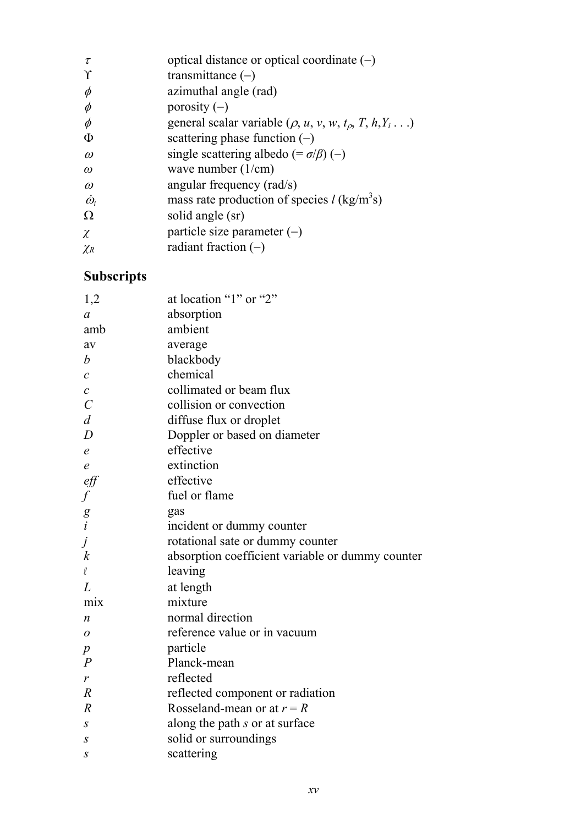| $\tau$           | optical distance or optical coordinate $(-)$                                          |
|------------------|---------------------------------------------------------------------------------------|
| Υ                | transmittance $(-)$                                                                   |
| $\phi$           | azimuthal angle (rad)                                                                 |
| $\phi$           | porosity $(-)$                                                                        |
| $\phi$           | general scalar variable ( $\rho$ , $u$ , $v$ , $w$ , $t_{\rho}$ , $T$ , $h$ , $Y_i$ ) |
| Φ                | scattering phase function $(-)$                                                       |
| $\omega$         | single scattering albedo (= $\sigma/\beta$ ) (-)                                      |
| $\omega$         | wave number $(1/cm)$                                                                  |
| $\omega$         | angular frequency (rad/s)                                                             |
| $\dot{\omega}_i$ | mass rate production of species $l$ (kg/m <sup>3</sup> s)                             |
| Ω                | solid angle (sr)                                                                      |
| χ                | particle size parameter $(-)$                                                         |
| $\chi_R$         | radiant fraction $(-)$                                                                |
|                  |                                                                                       |

## **Subscripts**

| 1,2                                         | at location "1" or "2"                           |
|---------------------------------------------|--------------------------------------------------|
| a                                           | absorption                                       |
| amb                                         | ambient                                          |
| av                                          | average                                          |
| b                                           | blackbody                                        |
| C                                           | chemical                                         |
| $\boldsymbol{c}$                            | collimated or beam flux                          |
| $\mathcal{C}_{0}^{(n)}$                     | collision or convection                          |
| $\overline{d}$                              | diffuse flux or droplet                          |
| D                                           | Doppler or based on diameter                     |
| $\epsilon$                                  | effective                                        |
| $\epsilon$                                  | extinction                                       |
| $\it eff$                                   | effective                                        |
| $\int$                                      | fuel or flame                                    |
|                                             | gas                                              |
| $\begin{bmatrix} g \\ i \\ j \end{bmatrix}$ | incident or dummy counter                        |
|                                             | rotational sate or dummy counter                 |
| $\boldsymbol{k}$                            | absorption coefficient variable or dummy counter |
| $\ell$                                      | leaving                                          |
| L                                           | at length                                        |
| mix                                         | mixture                                          |
| n                                           | normal direction                                 |
| 0                                           | reference value or in vacuum                     |
| p                                           | particle                                         |
| $\boldsymbol{P}$                            | Planck-mean                                      |
| $\boldsymbol{r}$                            | reflected                                        |
| $\boldsymbol{R}$                            | reflected component or radiation                 |
| $\overline{R}$                              | Rosseland-mean or at $r = R$                     |
| $\boldsymbol{S}$                            | along the path s or at surface                   |
| S                                           | solid or surroundings                            |
| S                                           | scattering                                       |